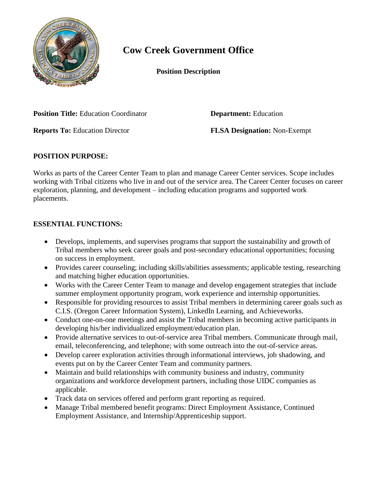

## **Cow Creek Government Office**

**Position Description**

**Position Title:** Education Coordinator **Department:** Education

**Reports To:** Education Director **FLSA Designation:** Non**-**Exempt

## **POSITION PURPOSE:**

Works as parts of the Career Center Team to plan and manage Career Center services. Scope includes working with Tribal citizens who live in and out of the service area. The Career Center focuses on career exploration, planning, and development – including education programs and supported work placements.

## **ESSENTIAL FUNCTIONS:**

- Develops, implements, and supervises programs that support the sustainability and growth of Tribal members who seek career goals and post-secondary educational opportunities; focusing on success in employment.
- Provides career counseling; including skills/abilities assessments; applicable testing, researching and matching higher education opportunities.
- Works with the Career Center Team to manage and develop engagement strategies that include summer employment opportunity program, work experience and internship opportunities.
- Responsible for providing resources to assist Tribal members in determining career goals such as C.I.S. (Oregon Career Information System), LinkedIn Learning, and Achieveworks.
- Conduct one-on-one meetings and assist the Tribal members in becoming active participants in developing his/her individualized employment/education plan.
- Provide alternative services to out-of-service area Tribal members. Communicate through mail, email, teleconferencing, and telephone; with some outreach into the out-of-service areas.
- Develop career exploration activities through informational interviews, job shadowing, and events put on by the Career Center Team and community partners.
- Maintain and build relationships with community business and industry, community organizations and workforce development partners, including those UIDC companies as applicable.
- Track data on services offered and perform grant reporting as required.
- Manage Tribal membered benefit programs: Direct Employment Assistance, Continued Employment Assistance, and Internship/Apprenticeship support.